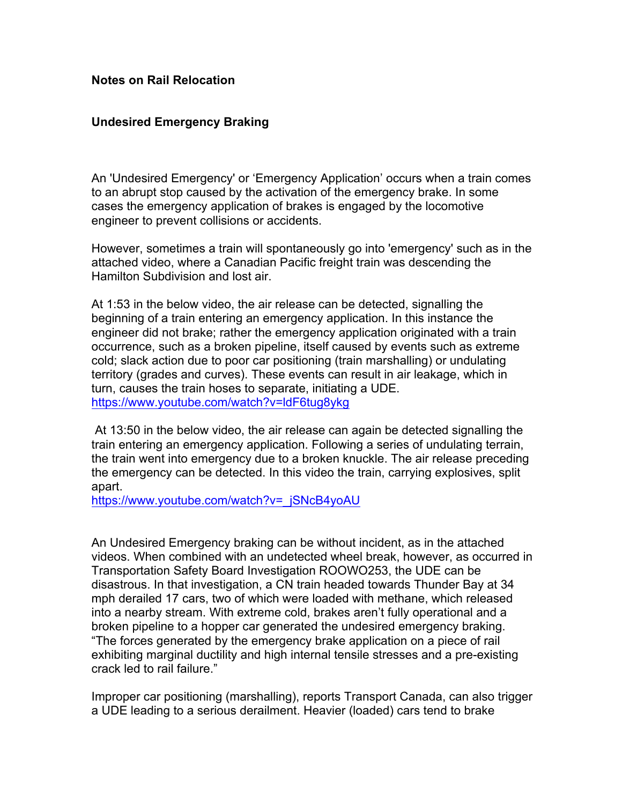## **Notes on Rail Relocation**

## **Undesired Emergency Braking**

An 'Undesired Emergency' or 'Emergency Application' occurs when a train comes to an abrupt stop caused by the activation of the emergency brake. In some cases the emergency application of brakes is engaged by the locomotive engineer to prevent collisions or accidents.

However, sometimes a train will spontaneously go into 'emergency' such as in the attached video, where a Canadian Pacific freight train was descending the Hamilton Subdivision and lost air.

At 1:53 in the below video, the air release can be detected, signalling the beginning of a train entering an emergency application. In this instance the engineer did not brake; rather the emergency application originated with a train occurrence, such as a broken pipeline, itself caused by events such as extreme cold; slack action due to poor car positioning (train marshalling) or undulating territory (grades and curves). These events can result in air leakage, which in turn, causes the train hoses to separate, initiating a UDE. https://www.youtube.com/watch?v=ldF6tug8ykg

At 13:50 in the below video, the air release can again be detected signalling the train entering an emergency application. Following a series of undulating terrain, the train went into emergency due to a broken knuckle. The air release preceding the emergency can be detected. In this video the train, carrying explosives, split apart.

https://www.youtube.com/watch?v=\_jSNcB4yoAU

An Undesired Emergency braking can be without incident, as in the attached videos. When combined with an undetected wheel break, however, as occurred in Transportation Safety Board Investigation ROOWO253, the UDE can be disastrous. In that investigation, a CN train headed towards Thunder Bay at 34 mph derailed 17 cars, two of which were loaded with methane, which released into a nearby stream. With extreme cold, brakes aren't fully operational and a broken pipeline to a hopper car generated the undesired emergency braking. "The forces generated by the emergency brake application on a piece of rail exhibiting marginal ductility and high internal tensile stresses and a pre-existing crack led to rail failure."

Improper car positioning (marshalling), reports Transport Canada, can also trigger a UDE leading to a serious derailment. Heavier (loaded) cars tend to brake